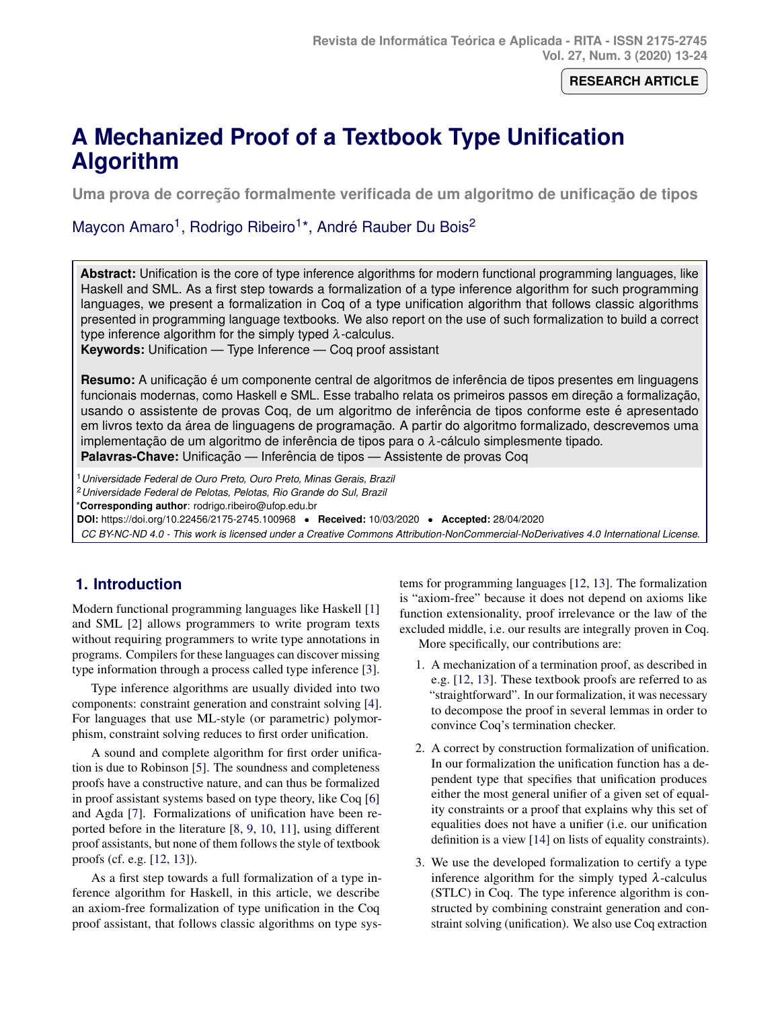## **RESEARCH ARTICLE**

# <span id="page-0-0"></span>**A Mechanized Proof of a Textbook Type Unification Algorithm**

**Uma prova de correção formalmente verificada de um algoritmo de unificação de tipos** 

# Maycon Amaro<sup>1</sup>, Rodrigo Ribeiro<sup>1\*</sup>, André Rauber Du Bois<sup>2</sup>

**Abstract:** Unification is the core of type inference algorithms for modern functional programming languages, like Haskell and SML. As a first step towards a formalization of a type inference algorithm for such programming languages, we present a formalization in Coq of a type unification algorithm that follows classic algorithms presented in programming language textbooks. We also report on the use of such formalization to build a correct type inference algorithm for the simply typed  $\lambda$ -calculus.

**Keywords:** Unification — Type Inference — Coq proof assistant

**Resumo:** A unificação é um componente central de algoritmos de inferência de tipos presentes em linguagens funcionais modernas, como Haskell e SML. Esse trabalho relata os primeiros passos em direção a formalização, usando o assistente de provas Coq, de um algoritmo de inferência de tipos conforme este é apresentado em livros texto da área de linguagens de programação. A partir do algoritmo formalizado, descrevemos uma implementação de um algoritmo de inferência de tipos para o  $\lambda$ -cálculo simplesmente tipado. **Palavras-Chave:** Unificação — Inferência de tipos — Assistente de provas Coq

<sup>1</sup>*Universidade Federal de Ouro Preto, Ouro Preto, Minas Gerais, Brazil*

<sup>2</sup>*Universidade Federal de Pelotas, Pelotas, Rio Grande do Sul, Brazil*

\***Corresponding author**: rodrigo.ribeiro@ufop.edu.br

**DOI:** https://doi.org/10.22456/2175-2745.100968 • **Received:** 10/03/2020 • **Accepted:** 28/04/2020

*CC BY-NC-ND 4.0 - This work is licensed under a Creative Commons Attribution-NonCommercial-NoDerivatives 4.0 International License.*

# **1. Introduction**

Modern functional programming languages like Haskell [\[1\]](#page-10-0) and SML [\[2\]](#page-10-1) allows programmers to write program texts without requiring programmers to write type annotations in programs. Compilers for these languages can discover missing type information through a process called type inference [\[3\]](#page-10-2).

Type inference algorithms are usually divided into two components: constraint generation and constraint solving [\[4\]](#page-10-3). For languages that use ML-style (or parametric) polymorphism, constraint solving reduces to first order unification.

A sound and complete algorithm for first order unification is due to Robinson [\[5\]](#page-10-4). The soundness and completeness proofs have a constructive nature, and can thus be formalized in proof assistant systems based on type theory, like Coq [\[6\]](#page-10-5) and Agda [\[7\]](#page-10-6). Formalizations of unification have been reported before in the literature [\[8,](#page-10-7) [9,](#page-10-8) [10,](#page-10-9) [11\]](#page-10-10), using different proof assistants, but none of them follows the style of textbook proofs (cf. e.g. [\[12,](#page-10-11) [13\]](#page-10-12)).

As a first step towards a full formalization of a type inference algorithm for Haskell, in this article, we describe an axiom-free formalization of type unification in the Coq proof assistant, that follows classic algorithms on type sys-

tems for programming languages [\[12,](#page-10-11) [13\]](#page-10-12). The formalization is "axiom-free" because it does not depend on axioms like function extensionality, proof irrelevance or the law of the excluded middle, i.e. our results are integrally proven in Coq.

More specifically, our contributions are:

- 1. A mechanization of a termination proof, as described in e.g. [\[12,](#page-10-11) [13\]](#page-10-12). These textbook proofs are referred to as "straightforward". In our formalization, it was necessary to decompose the proof in several lemmas in order to convince Coq's termination checker.
- 2. A correct by construction formalization of unification. In our formalization the unification function has a dependent type that specifies that unification produces either the most general unifier of a given set of equality constraints or a proof that explains why this set of equalities does not have a unifier (i.e. our unification definition is a view [\[14\]](#page-10-13) on lists of equality constraints).
- 3. We use the developed formalization to certify a type inference algorithm for the simply typed  $\lambda$ -calculus (STLC) in Coq. The type inference algorithm is constructed by combining constraint generation and constraint solving (unification). We also use Coq extraction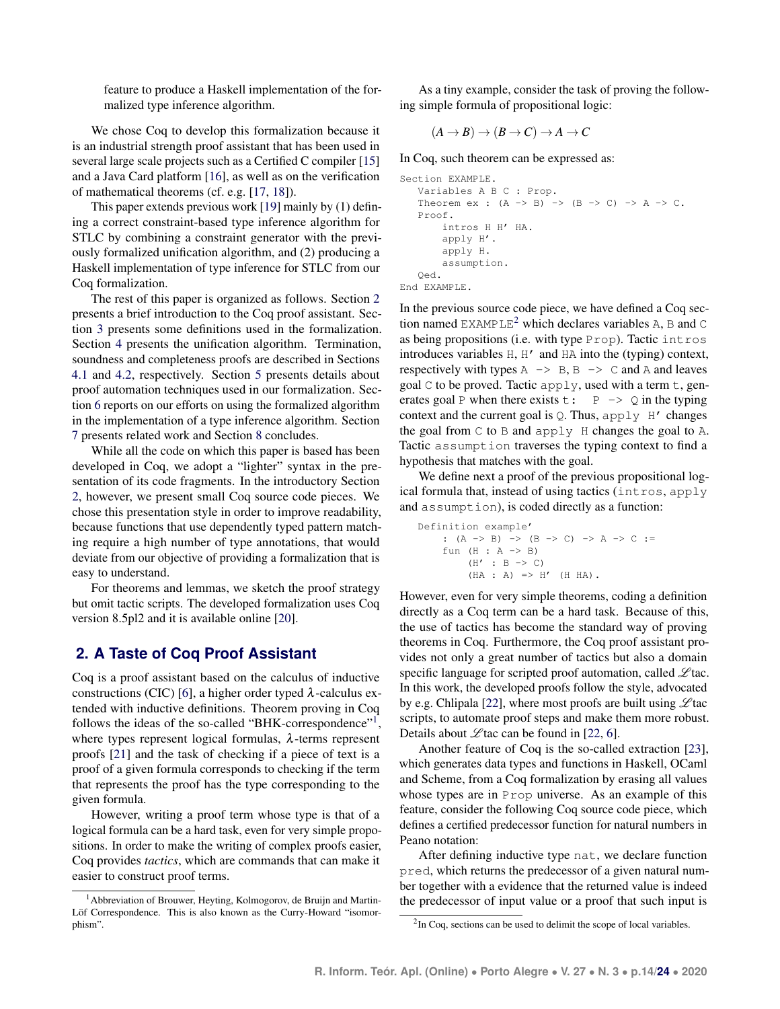feature to produce a Haskell implementation of the formalized type inference algorithm.

We chose Coq to develop this formalization because it is an industrial strength proof assistant that has been used in several large scale projects such as a Certified C compiler [\[15\]](#page-10-14) and a Java Card platform [\[16\]](#page-10-15), as well as on the verification of mathematical theorems (cf. e.g. [\[17,](#page-10-16) [18\]](#page-10-17)).

This paper extends previous work [\[19\]](#page-10-18) mainly by (1) defining a correct constraint-based type inference algorithm for STLC by combining a constraint generator with the previously formalized unification algorithm, and (2) producing a Haskell implementation of type inference for STLC from our Coq formalization.

The rest of this paper is organized as follows. Section [2](#page-1-0) presents a brief introduction to the Coq proof assistant. Section [3](#page-2-0) presents some definitions used in the formalization. Section [4](#page-5-0) presents the unification algorithm. Termination, soundness and completeness proofs are described in Sections [4.1](#page-6-0) and [4.2,](#page-6-1) respectively. Section [5](#page-7-0) presents details about proof automation techniques used in our formalization. Section [6](#page-7-1) reports on our efforts on using the formalized algorithm in the implementation of a type inference algorithm. Section [7](#page-8-0) presents related work and Section [8](#page-10-19) concludes.

While all the code on which this paper is based has been developed in Coq, we adopt a "lighter" syntax in the presentation of its code fragments. In the introductory Section [2,](#page-1-0) however, we present small Coq source code pieces. We chose this presentation style in order to improve readability, because functions that use dependently typed pattern matching require a high number of type annotations, that would deviate from our objective of providing a formalization that is easy to understand.

For theorems and lemmas, we sketch the proof strategy but omit tactic scripts. The developed formalization uses Coq version 8.5pl2 and it is available online [\[20\]](#page-10-20).

# <span id="page-1-0"></span>**2. A Taste of Coq Proof Assistant**

Coq is a proof assistant based on the calculus of inductive constructions (CIC) [\[6\]](#page-10-5), a higher order typed  $\lambda$ -calculus extended with inductive definitions. Theorem proving in Coq follows the ideas of the so-called "BHK-correspondence"<sup>[1](#page-0-0)</sup>, where types represent logical formulas,  $\lambda$ -terms represent proofs [\[21\]](#page-10-21) and the task of checking if a piece of text is a proof of a given formula corresponds to checking if the term that represents the proof has the type corresponding to the given formula.

However, writing a proof term whose type is that of a logical formula can be a hard task, even for very simple propositions. In order to make the writing of complex proofs easier, Coq provides *tactics*, which are commands that can make it easier to construct proof terms.

As a tiny example, consider the task of proving the following simple formula of propositional logic:

$$
(A \to B) \to (B \to C) \to A \to C
$$

In Coq, such theorem can be expressed as:

```
Section EXAMPLE.
   Variables A B C : Prop.
   Theorem ex : (A \rightarrow B) \rightarrow (B \rightarrow C) \rightarrow A \rightarrow C.
   Proof.
         intros H H' HA.
         apply H'.
         apply H.
         assumption.
    Qed.
End EXAMPLE.
```
In the previous source code piece, we have defined a Coq sec-tion named EXAMPLE<sup>[2](#page-0-0)</sup> which declares variables A, B and C as being propositions (i.e. with type Prop). Tactic intros introduces variables H, H' and HA into the (typing) context, respectively with types  $A \rightarrow B, B \rightarrow C$  and A and leaves goal  $\mathcal C$  to be proved. Tactic apply, used with a term  $\pm$ , generates goal P when there exists  $t: P \rightarrow Q$  in the typing context and the current goal is  $Q$ . Thus, apply  $H'$  changes the goal from  $C$  to  $B$  and apply  $H$  changes the goal to  $A$ . Tactic assumption traverses the typing context to find a hypothesis that matches with the goal.

We define next a proof of the previous propositional logical formula that, instead of using tactics (intros, apply and assumption), is coded directly as a function:

```
Definition example'
      : (A \rightarrow B) \rightarrow (B \rightarrow C) \rightarrow A \rightarrow C :=
      fun (H : A \rightarrow B)(H' : B \rightarrow C)(HA : A) => H' (H HA).
```
However, even for very simple theorems, coding a definition directly as a Coq term can be a hard task. Because of this, the use of tactics has become the standard way of proving theorems in Coq. Furthermore, the Coq proof assistant provides not only a great number of tactics but also a domain specific language for scripted proof automation, called  $\mathscr{L}$  tac. In this work, the developed proofs follow the style, advocated by e.g. Chlipala [\[22\]](#page-11-0), where most proofs are built using  $\mathscr{L}$  tac scripts, to automate proof steps and make them more robust. Details about  $\mathscr{L}$  tac can be found in [\[22,](#page-11-0) [6\]](#page-10-5).

Another feature of Coq is the so-called extraction [\[23\]](#page-11-1), which generates data types and functions in Haskell, OCaml and Scheme, from a Coq formalization by erasing all values whose types are in Prop universe. As an example of this feature, consider the following Coq source code piece, which defines a certified predecessor function for natural numbers in Peano notation:

After defining inductive type nat, we declare function pred, which returns the predecessor of a given natural number together with a evidence that the returned value is indeed the predecessor of input value or a proof that such input is

<sup>&</sup>lt;sup>1</sup>Abbreviation of Brouwer, Heyting, Kolmogorov, de Bruijn and Martin-Löf Correspondence. This is also known as the Curry-Howard "isomorphism".

<sup>&</sup>lt;sup>2</sup>In Coq, sections can be used to delimit the scope of local variables.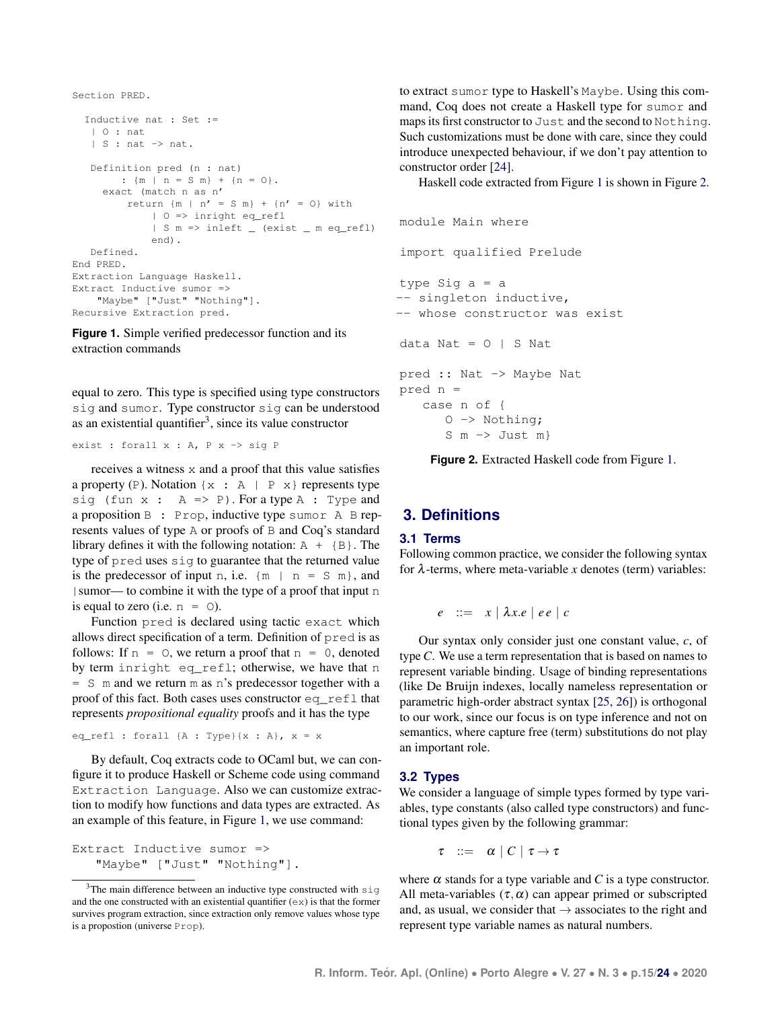```
Section PRED.
  Inductive nat : Set :=
  | O : nat
   | S : nat -> nat.
   Definition pred (n : nat)
       : {m \mid n = S \n m} + {n = 0}.exact (match n as n'
        return {m \mid n' = S m} + {n' = 0} with| O => inright eq_refl
             | S m => inleft _ (exist _ m eq_refl)
             end).
  Defined.
End PRED.
Extraction Language Haskell.
Extract Inductive sumor =>
    "Maybe" ["Just" "Nothing"].
Recursive Extraction pred.
```
**Figure 1.** Simple verified predecessor function and its extraction commands

equal to zero. This type is specified using type constructors sig and sumor. Type constructor sig can be understood as an existential quantifier<sup>[3](#page-0-0)</sup>, since its value constructor

```
exist : forall x : A, P x -> sig P
```
receives a witness x and a proof that this value satisfies a property (P). Notation  $\{x : A | P x\}$  represents type sig (fun  $x : A \Rightarrow P$ ). For a type  $A : Type$  and a proposition B : Prop, inductive type sumor A B represents values of type A or proofs of B and Coq's standard library defines it with the following notation:  $A + {B}$ . The type of pred uses sig to guarantee that the returned value is the predecessor of input n, i.e.  ${m \mid n = S \text{ m}}$ , and |sumor— to combine it with the type of a proof that input n is equal to zero (i.e.  $n = 0$ ).

Function pred is declared using tactic exact which allows direct specification of a term. Definition of pred is as follows: If  $n = 0$ , we return a proof that  $n = 0$ , denoted by term inright eq\_refl; otherwise, we have that n = S m and we return m as n's predecessor together with a proof of this fact. Both cases uses constructor eq\_refl that represents *propositional equality* proofs and it has the type

```
eq_refl : forall {A : Type}(x : A), x = x
```
By default, Coq extracts code to OCaml but, we can configure it to produce Haskell or Scheme code using command Extraction Language. Also we can customize extraction to modify how functions and data types are extracted. As an example of this feature, in Figure [1,](#page-2-1) we use command:

```
Extract Inductive sumor =>
   "Maybe" ["Just" "Nothing"].
```
to extract sumor type to Haskell's Maybe. Using this command, Coq does not create a Haskell type for sumor and maps its first constructor to Just and the second to Nothing. Such customizations must be done with care, since they could introduce unexpected behaviour, if we don't pay attention to constructor order [\[24\]](#page-11-3).

Haskell code extracted from Figure [1](#page-2-1) is shown in Figure [2.](#page-2-2)

```
module Main where
import qualified Prelude
type Sig a = a
-- singleton inductive,
-- whose constructor was exist
data Nat = 0 | S Nat
pred :: Nat -> Maybe Nat
pred n =
   case n of {
     O -> Nothing;
      S m \rightarrow Just m}
```
**Figure 2.** Extracted Haskell code from Figure [1.](#page-2-1)

# <span id="page-2-0"></span>**3. Definitions**

#### **3.1 Terms**

Following common practice, we consider the following syntax for  $\lambda$ -terms, where meta-variable *x* denotes (term) variables:

$$
e ::= x \mid \lambda x.e \mid ee \mid c
$$

Our syntax only consider just one constant value, *c*, of type *C*. We use a term representation that is based on names to represent variable binding. Usage of binding representations (like De Bruijn indexes, locally nameless representation or parametric high-order abstract syntax [\[25,](#page-11-4) [26\]](#page-11-5)) is orthogonal to our work, since our focus is on type inference and not on semantics, where capture free (term) substitutions do not play an important role.

#### **3.2 Types**

We consider a language of simple types formed by type variables, type constants (also called type constructors) and functional types given by the following grammar:

$$
\tau \ ::= \ \alpha \mid C \mid \tau \to \tau
$$

where  $\alpha$  stands for a type variable and *C* is a type constructor. All meta-variables  $(\tau, \alpha)$  can appear primed or subscripted and, as usual, we consider that  $\rightarrow$  associates to the right and represent type variable names as natural numbers.

 $3$ The main difference between an inductive type constructed with  $\sin \theta$ and the one constructed with an existential quantifier  $(ex)$  is that the former survives program extraction, since extraction only remove values whose type is a propostion (universe Prop).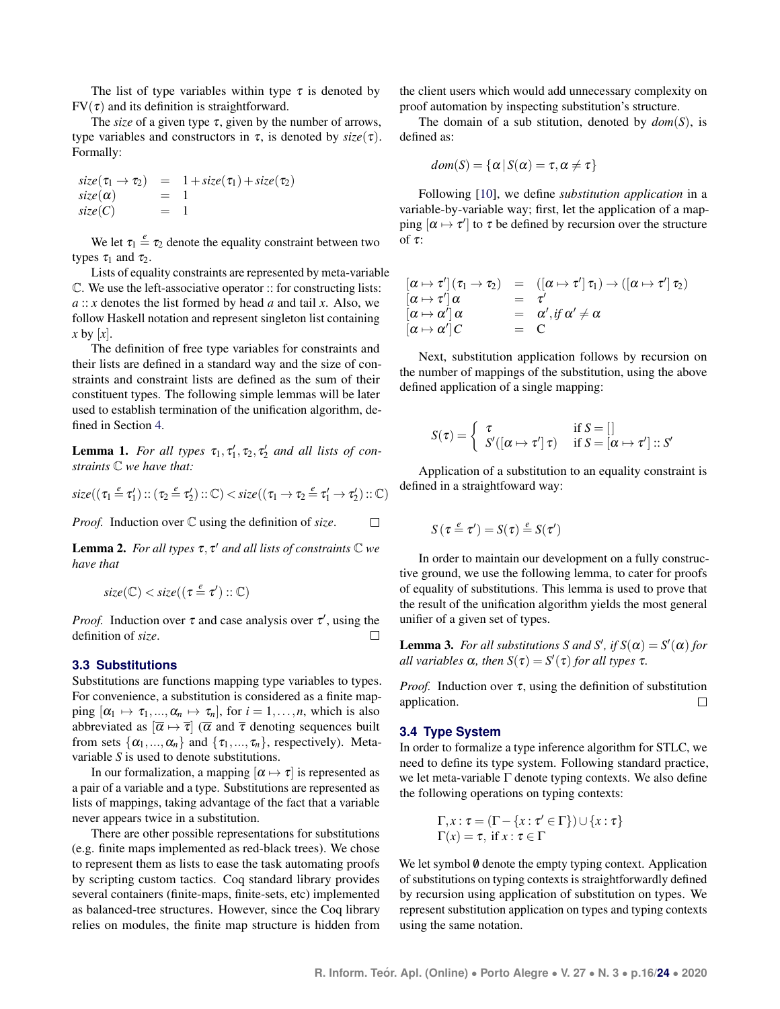The list of type variables within type  $\tau$  is denoted by  $FV(\tau)$  and its definition is straightforward.

The *size* of a given type  $\tau$ , given by the number of arrows, type variables and constructors in  $\tau$ , is denoted by  $size(\tau)$ . Formally:

$$
size(\tau_1 \rightarrow \tau_2) = 1 + size(\tau_1) + size(\tau_2)
$$
  
\n
$$
size(\alpha) = 1
$$
  
\n
$$
size(C) = 1
$$

We let  $\tau_1 \stackrel{e}{=} \tau_2$  denote the equality constraint between two types  $\tau_1$  and  $\tau_2$ .

Lists of equality constraints are represented by meta-variable C. We use the left-associative operator :: for constructing lists: *a* :: *x* denotes the list formed by head *a* and tail *x*. Also, we follow Haskell notation and represent singleton list containing *x* by [*x*].

The definition of free type variables for constraints and their lists are defined in a standard way and the size of constraints and constraint lists are defined as the sum of their constituent types. The following simple lemmas will be later used to establish termination of the unification algorithm, defined in Section [4.](#page-5-0)

<span id="page-3-0"></span>**Lemma 1.** For all types  $\tau_1, \tau_1', \tau_2, \tau_2'$  and all lists of con*straints* C *we have that:*

$$
\text{size}((\tau_1 \stackrel{e}{=} \tau_1') :: (\tau_2 \stackrel{e}{=} \tau_2') :: \mathbb{C}) < \text{size}((\tau_1 \rightarrow \tau_2 \stackrel{e}{=} \tau_1' \rightarrow \tau_2') :: \mathbb{C})
$$

*Proof.* Induction over C using the definition of *size*.  $\Box$ 

<span id="page-3-1"></span>Lemma 2. *For all types* τ, τ <sup>0</sup> *and all lists of constraints* C *we have that*

$$
\mathit{size}(\mathbb{C}) < \mathit{size}((\tau \stackrel{e}{=} \tau') :: \mathbb{C})
$$

*Proof.* Induction over  $\tau$  and case analysis over  $\tau'$ , using the definition of *size*.  $\Box$ 

#### <span id="page-3-2"></span>**3.3 Substitutions**

Substitutions are functions mapping type variables to types. For convenience, a substitution is considered as a finite mapping  $[\alpha_1 \mapsto \tau_1, ..., \alpha_n \mapsto \tau_n]$ , for  $i = 1, ..., n$ , which is also abbreviated as  $[\overline{\alpha} \mapsto \overline{\tau}]$  ( $\overline{\alpha}$  and  $\overline{\tau}$  denoting sequences built from sets  $\{\alpha_1, ..., \alpha_n\}$  and  $\{\tau_1, ..., \tau_n\}$ , respectively). Metavariable *S* is used to denote substitutions.

In our formalization, a mapping  $[\alpha \mapsto \tau]$  is represented as a pair of a variable and a type. Substitutions are represented as lists of mappings, taking advantage of the fact that a variable never appears twice in a substitution.

There are other possible representations for substitutions (e.g. finite maps implemented as red-black trees). We chose to represent them as lists to ease the task automating proofs by scripting custom tactics. Coq standard library provides several containers (finite-maps, finite-sets, etc) implemented as balanced-tree structures. However, since the Coq library relies on modules, the finite map structure is hidden from

the client users which would add unnecessary complexity on proof automation by inspecting substitution's structure.

The domain of a sub stitution, denoted by *dom*(*S*), is defined as:

$$
dom(S) = \{ \alpha \, | \, S(\alpha) = \tau, \alpha \neq \tau \}
$$

Following [\[10\]](#page-10-9), we define *substitution application* in a variable-by-variable way; first, let the application of a mapping  $[\alpha \mapsto \tau']$  to  $\tau$  be defined by recursion over the structure of  $\tau$ :

$$
\begin{array}{rcl}\n[\alpha \mapsto \tau'](\tau_1 \to \tau_2) & = & ([\alpha \mapsto \tau'] \, \tau_1) \to ([\alpha \mapsto \tau'] \, \tau_2) \\
[\alpha \mapsto \tau'] \, \alpha & = & \tau' \\
[\alpha \mapsto \alpha'] \, \alpha & = & \alpha', \text{if } \alpha' \neq \alpha \\
[\alpha \mapsto \alpha'] \, C & = & C\n\end{array}
$$

Next, substitution application follows by recursion on the number of mappings of the substitution, using the above defined application of a single mapping:

$$
S(\tau) = \begin{cases} \tau & \text{if } S = [] \\ S'([\alpha \mapsto \tau'] \tau) & \text{if } S = [\alpha \mapsto \tau'] :: S' \end{cases}
$$

Application of a substitution to an equality constraint is defined in a straightfoward way:

$$
S(\tau \stackrel{e}{=} \tau') = S(\tau) \stackrel{e}{=} S(\tau')
$$

In order to maintain our development on a fully constructive ground, we use the following lemma, to cater for proofs of equality of substitutions. This lemma is used to prove that the result of the unification algorithm yields the most general unifier of a given set of types.

<span id="page-3-3"></span>**Lemma 3.** For all substitutions *S* and *S'*, if  $S(\alpha) = S'(\alpha)$  for *all variables*  $\alpha$ *, then*  $S(\tau) = S'(\tau)$  *for all types*  $\tau$ *.* 

*Proof.* Induction over  $\tau$ , using the definition of substitution application.  $\Box$ 

#### **3.4 Type System**

In order to formalize a type inference algorithm for STLC, we need to define its type system. Following standard practice, we let meta-variable  $\Gamma$  denote typing contexts. We also define the following operations on typing contexts:

$$
\Gamma, x : \tau = (\Gamma - \{x : \tau' \in \Gamma\}) \cup \{x : \tau\}
$$
  

$$
\Gamma(x) = \tau, \text{ if } x : \tau \in \Gamma
$$

We let symbol  $\emptyset$  denote the empty typing context. Application of substitutions on typing contexts is straightforwardly defined by recursion using application of substitution on types. We represent substitution application on types and typing contexts using the same notation.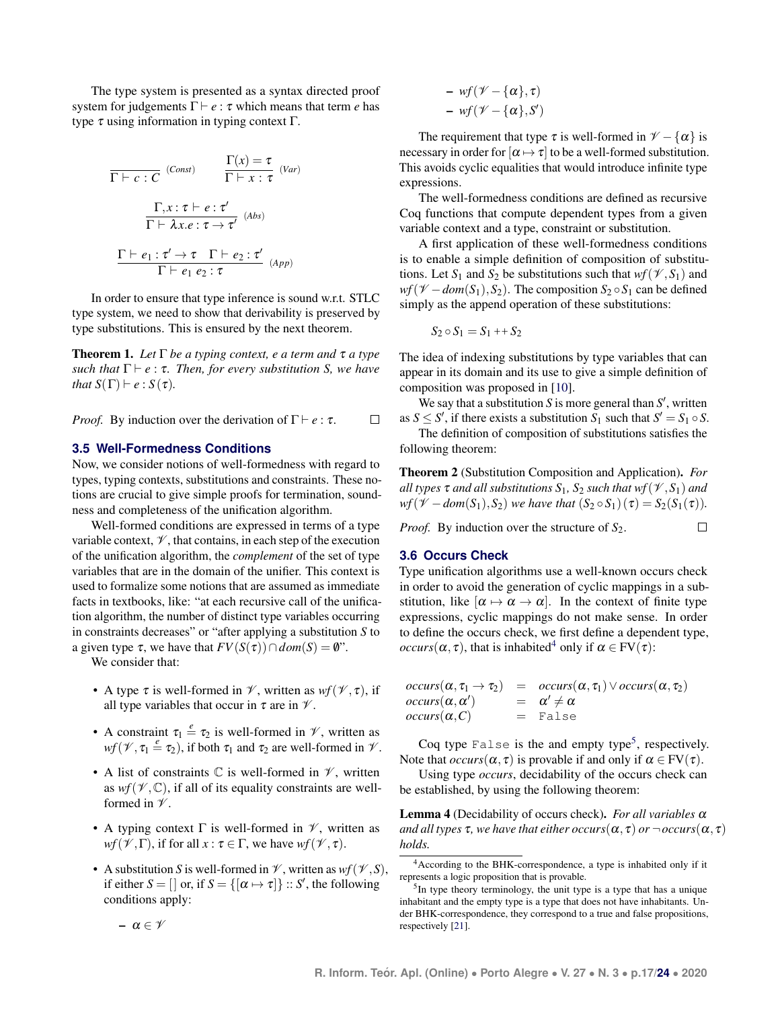The type system is presented as a syntax directed proof system for judgements  $\Gamma \vdash e : \tau$  which means that term *e* has type  $τ$  using information in typing context  $Γ$ .

$$
\frac{\Gamma(x) = \tau}{\Gamma \vdash c : C} \quad \text{(Const)} \qquad \frac{\Gamma(x) = \tau}{\Gamma \vdash x : \tau} \quad \text{(Var)}
$$
\n
$$
\frac{\Gamma, x : \tau \vdash e : \tau'}{\Gamma \vdash \lambda x . e : \tau \to \tau'} \quad \text{(Abs)}
$$
\n
$$
\frac{\Gamma \vdash e_1 : \tau' \to \tau \quad \Gamma \vdash e_2 : \tau'}{\Gamma \vdash e_1 e_2 : \tau} \quad \text{(App)}
$$

In order to ensure that type inference is sound w.r.t. STLC type system, we need to show that derivability is preserved by type substitutions. This is ensured by the next theorem.

<span id="page-4-0"></span>Theorem 1. *Let* Γ *be a typing context, e a term and* τ *a type such that*  $\Gamma \vdash e : \tau$ *. Then, for every substitution S, we have that*  $S(\Gamma) \vdash e : S(\tau)$ *.* 

*Proof.* By induction over the derivation of  $\Gamma \vdash e : \tau$ .  $\Box$ 

#### **3.5 Well-Formedness Conditions**

Now, we consider notions of well-formedness with regard to types, typing contexts, substitutions and constraints. These notions are crucial to give simple proofs for termination, soundness and completeness of the unification algorithm.

Well-formed conditions are expressed in terms of a type variable context,  $\mathcal V$ , that contains, in each step of the execution of the unification algorithm, the *complement* of the set of type variables that are in the domain of the unifier. This context is used to formalize some notions that are assumed as immediate facts in textbooks, like: "at each recursive call of the unification algorithm, the number of distinct type variables occurring in constraints decreases" or "after applying a substitution *S* to a given type  $\tau$ , we have that  $FV(S(\tau)) \cap dom(S) = \emptyset$ ".

We consider that:

- A type  $\tau$  is well-formed in  $\mathcal V$ , written as  $wf(\mathcal V, \tau)$ , if all type variables that occur in  $\tau$  are in  $\mathcal V$ .
- A constraint  $\tau_1 \stackrel{e}{=} \tau_2$  is well-formed in  $\mathcal{V}$ , written as  $wf(\mathcal{V}, \tau_1 \stackrel{e}{=} \tau_2)$ , if both  $\tau_1$  and  $\tau_2$  are well-formed in  $\mathcal{V}$ .
- A list of constraints  $\mathbb C$  is well-formed in  $\mathscr V$ , written as  $wf(\mathscr{V}, \mathbb{C})$ , if all of its equality constraints are wellformed in  $\mathcal V$ .
- A typing context  $\Gamma$  is well-formed in  $\mathcal V$ , written as  $wf(\mathscr{V}, \Gamma)$ , if for all  $x : \tau \in \Gamma$ , we have  $wf(\mathscr{V}, \tau)$ .
- A substitution *S* is well-formed in  $\mathcal{V}$ , written as  $wf(\mathcal{V}, S)$ , if either  $S = []$  or, if  $S = \{[\alpha \mapsto \tau]\} :: S'$ , the following conditions apply:

– *wf*(V − {α}, τ)  $- wf(\mathscr{V}-\{\alpha\},S')$ 

The requirement that type  $\tau$  is well-formed in  $\mathcal{V} - {\alpha}$  is necessary in order for  $[\alpha \mapsto \tau]$  to be a well-formed substitution. This avoids cyclic equalities that would introduce infinite type expressions.

The well-formedness conditions are defined as recursive Coq functions that compute dependent types from a given variable context and a type, constraint or substitution.

A first application of these well-formedness conditions is to enable a simple definition of composition of substitutions. Let  $S_1$  and  $S_2$  be substitutions such that  $wf(\mathcal{V}, S_1)$  and  $wf(\mathcal{V} - dom(S_1), S_2)$ . The composition  $S_2 \circ S_1$  can be defined simply as the append operation of these substitutions:

$$
S_2 \circ S_1 = S_1 + S_2
$$

The idea of indexing substitutions by type variables that can appear in its domain and its use to give a simple definition of composition was proposed in [\[10\]](#page-10-9).

We say that a substitution  $S$  is more general than  $S'$ , written as  $S \leq S'$ , if there exists a substitution  $S_1$  such that  $S' = S_1 \circ S$ .

The definition of composition of substitutions satisfies the following theorem:

Theorem 2 (Substitution Composition and Application). *For all types*  $\tau$  *and all substitutions*  $S_1$ *,*  $S_2$  *such that*  $wf(\mathcal{V}, S_1)$  *and wf*( $\mathcal{V}$  – *dom*( $S_1$ ),  $S_2$ ) *we have that*  $(S_2 \circ S_1)(\tau) = S_2(S_1(\tau))$ *.* 

 $\Box$ 

*Proof.* By induction over the structure of  $S_2$ .

#### **3.6 Occurs Check**

Type unification algorithms use a well-known occurs check in order to avoid the generation of cyclic mappings in a substitution, like  $[\alpha \mapsto \alpha \rightarrow \alpha]$ . In the context of finite type expressions, cyclic mappings do not make sense. In order to define the occurs check, we first define a dependent type, *occurs*( $\alpha$ ,  $\tau$ ), that is inhabited<sup>[4](#page-0-0)</sup> only if  $\alpha \in FV(\tau)$ :

| $occurs(\alpha, \tau_1 \rightarrow \tau_2)$ | $=$ $occurs(\alpha, \tau_1) \vee occurs(\alpha, \tau_2)$ |
|---------------------------------------------|----------------------------------------------------------|
| $occurs(\alpha, \alpha')$                   | $= \alpha' \neq \alpha$                                  |
| $occurs(\alpha, C)$                         | $=$ False                                                |

Coq type False is the and empty type<sup>[5](#page-0-0)</sup>, respectively. Note that  $occurs(\alpha, \tau)$  is provable if and only if  $\alpha \in FV(\tau)$ .

Using type *occurs*, decidability of the occurs check can be established, by using the following theorem:

Lemma 4 (Decidability of occurs check). *For all variables* α *and all types*  $\tau$ *, we have that either*  $occurs(\alpha, \tau)$  *or*  $\neg$  *occurs* $(\alpha, \tau)$ *holds.*

–  $\alpha \in \mathscr{V}$ 

<sup>4</sup>According to the BHK-correspondence, a type is inhabited only if it represents a logic proposition that is provable.

<sup>&</sup>lt;sup>5</sup>In type theory terminology, the unit type is a type that has a unique inhabitant and the empty type is a type that does not have inhabitants. Under BHK-correspondence, they correspond to a true and false propositions, respectively [\[21\]](#page-10-21).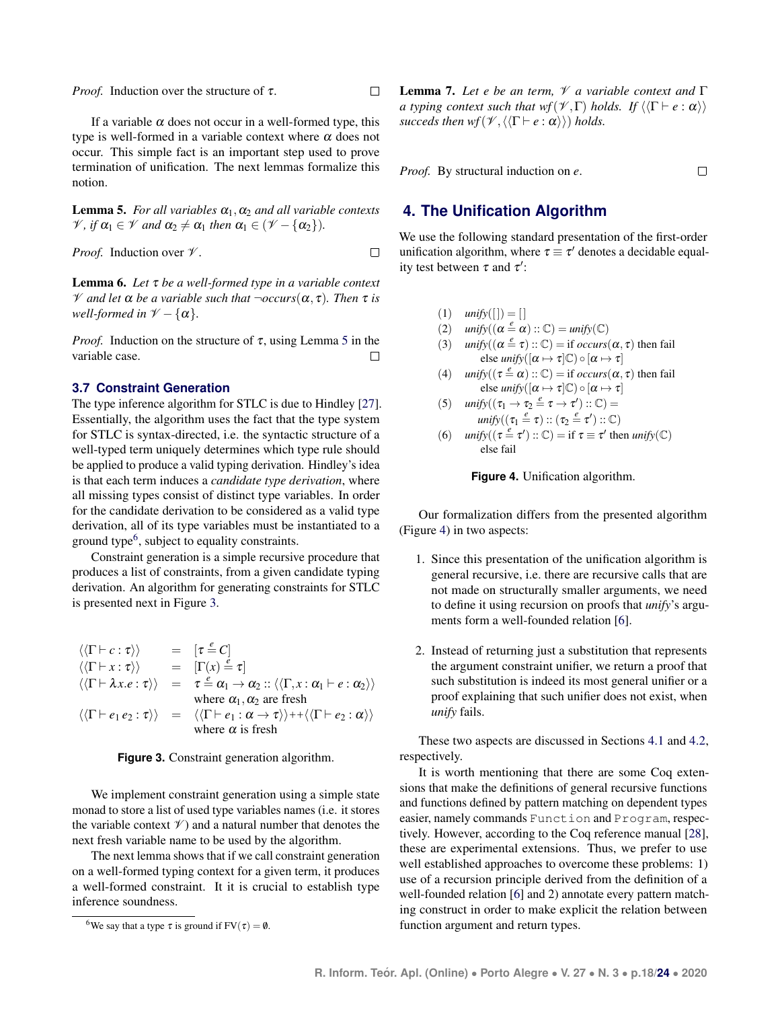*Proof.* Induction over the structure of τ.

If a variable  $\alpha$  does not occur in a well-formed type, this type is well-formed in a variable context where  $\alpha$  does not occur. This simple fact is an important step used to prove termination of unification. The next lemmas formalize this notion.

<span id="page-5-1"></span>**Lemma 5.** *For all variables*  $\alpha_1, \alpha_2$  *and all variable contexts*  $\mathcal{V}$ *, if*  $\alpha_1 \in \mathcal{V}$  *and*  $\alpha_2 \neq \alpha_1$  *then*  $\alpha_1 \in (\mathcal{V} - {\alpha_2})$ *).* 

*Proof.* Induction over  $\mathcal V$ .

Lemma 6. *Let* τ *be a well-formed type in a variable context* V *and let* α *be a variable such that* ¬*occurs*(α, τ)*. Then* τ *is well-formed in*  $V - {\alpha}$ .

*Proof.* Induction on the structure of  $\tau$ , using Lemma [5](#page-5-1) in the variable case.  $\Box$ 

#### **3.7 Constraint Generation**

The type inference algorithm for STLC is due to Hindley [\[27\]](#page-11-6). Essentially, the algorithm uses the fact that the type system for STLC is syntax-directed, i.e. the syntactic structure of a well-typed term uniquely determines which type rule should be applied to produce a valid typing derivation. Hindley's idea is that each term induces a *candidate type derivation*, where all missing types consist of distinct type variables. In order for the candidate derivation to be considered as a valid type derivation, all of its type variables must be instantiated to a ground type<sup>[6](#page-0-0)</sup>, subject to equality constraints.

Constraint generation is a simple recursive procedure that produces a list of constraints, from a given candidate typing derivation. An algorithm for generating constraints for STLC is presented next in Figure [3.](#page-5-2)

<span id="page-5-2"></span>
$$
\langle \langle \Gamma \vdash c : \tau \rangle \rangle = [\tau \stackrel{e}{=} C]
$$
  
\n
$$
\langle \langle \Gamma \vdash x : \tau \rangle \rangle = [\Gamma(x) \stackrel{e}{=} \tau]
$$
  
\n
$$
\langle \langle \Gamma \vdash \lambda x . e : \tau \rangle \rangle = \tau \stackrel{e}{=} \alpha_1 \rightarrow \alpha_2 :: \langle \langle \Gamma, x : \alpha_1 \vdash e : \alpha_2 \rangle \rangle
$$
  
\nwhere  $\alpha_1, \alpha_2$  are fresh  
\n
$$
\langle \langle \Gamma \vdash e_1 e_2 : \tau \rangle \rangle = \langle \langle \Gamma \vdash e_1 : \alpha \rightarrow \tau \rangle \rangle + \langle \langle \Gamma \vdash e_2 : \alpha \rangle \rangle
$$
  
\nwhere  $\alpha$  is fresh



We implement constraint generation using a simple state monad to store a list of used type variables names (i.e. it stores the variable context  $\mathcal V$ ) and a natural number that denotes the next fresh variable name to be used by the algorithm.

The next lemma shows that if we call constraint generation on a well-formed typing context for a given term, it produces a well-formed constraint. It it is crucial to establish type inference soundness.

<span id="page-5-4"></span>Lemma 7. *Let e be an term,* V *a variable context and* Γ *a typing context such that*  $wf(V, \Gamma)$  *holds.* If  $\langle \langle \Gamma \vdash e : \alpha \rangle \rangle$ *succeds then wf*( $\mathcal{V}, \langle \langle \Gamma \vdash e : \alpha \rangle \rangle$ ) *holds.* 

 $\Box$ 

*Proof.* By structural induction on *e*.

 $\Box$ 

 $\Box$ 

# <span id="page-5-0"></span>**4. The Unification Algorithm**

We use the following standard presentation of the first-order unification algorithm, where  $\tau \equiv \tau'$  denotes a decidable equality test between  $\tau$  and  $\tau'$ :

- <span id="page-5-3"></span> $(1)$  *unify* $(||) = ||$
- (2)  $unify((\alpha \stackrel{e}{=} \alpha) :: \mathbb{C}) = unify(\mathbb{C})$
- (3)  $unify((\alpha \stackrel{e}{=} \tau) :: \mathbb{C}) = \text{if } occurs(\alpha, \tau) \text{ then fail}$ else *unify*( $[\alpha \mapsto \tau]$ C)  $\circ [\alpha \mapsto \tau]$
- (4)  $unify((\tau \stackrel{e}{=} \alpha) :: \mathbb{C}) = \text{if } occurs(\alpha, \tau) \text{ then fail}$ else *unify*( $[\alpha \mapsto \tau]$ C)  $\circ [\alpha \mapsto \tau]$

(5) 
$$
unify((\tau_1 \rightarrow \tau_2 \stackrel{e}{=} \tau \rightarrow \tau') :: \mathbb{C}) =
$$
  
\n $unify((\tau_1 \stackrel{e}{=} \tau) :: (\tau_2 \stackrel{e}{=} \tau') :: \mathbb{C})$ 

(6)  $unify((\tau \stackrel{e}{=} \tau') :: \mathbb{C}) = \text{if } \tau \equiv \tau' \text{ then } unify(\mathbb{C})$ else fail



Our formalization differs from the presented algorithm (Figure [4\)](#page-5-3) in two aspects:

- 1. Since this presentation of the unification algorithm is general recursive, i.e. there are recursive calls that are not made on structurally smaller arguments, we need to define it using recursion on proofs that *unify*'s arguments form a well-founded relation [\[6\]](#page-10-5).
- 2. Instead of returning just a substitution that represents the argument constraint unifier, we return a proof that such substitution is indeed its most general unifier or a proof explaining that such unifier does not exist, when *unify* fails.

These two aspects are discussed in Sections [4.1](#page-6-0) and [4.2,](#page-6-1) respectively.

It is worth mentioning that there are some Coq extensions that make the definitions of general recursive functions and functions defined by pattern matching on dependent types easier, namely commands Function and Program, respectively. However, according to the Coq reference manual [\[28\]](#page-11-7), these are experimental extensions. Thus, we prefer to use well established approaches to overcome these problems: 1) use of a recursion principle derived from the definition of a well-founded relation [\[6\]](#page-10-5) and 2) annotate every pattern matching construct in order to make explicit the relation between function argument and return types.

<sup>&</sup>lt;sup>6</sup>We say that a type  $\tau$  is ground if FV( $\tau$ ) = 0.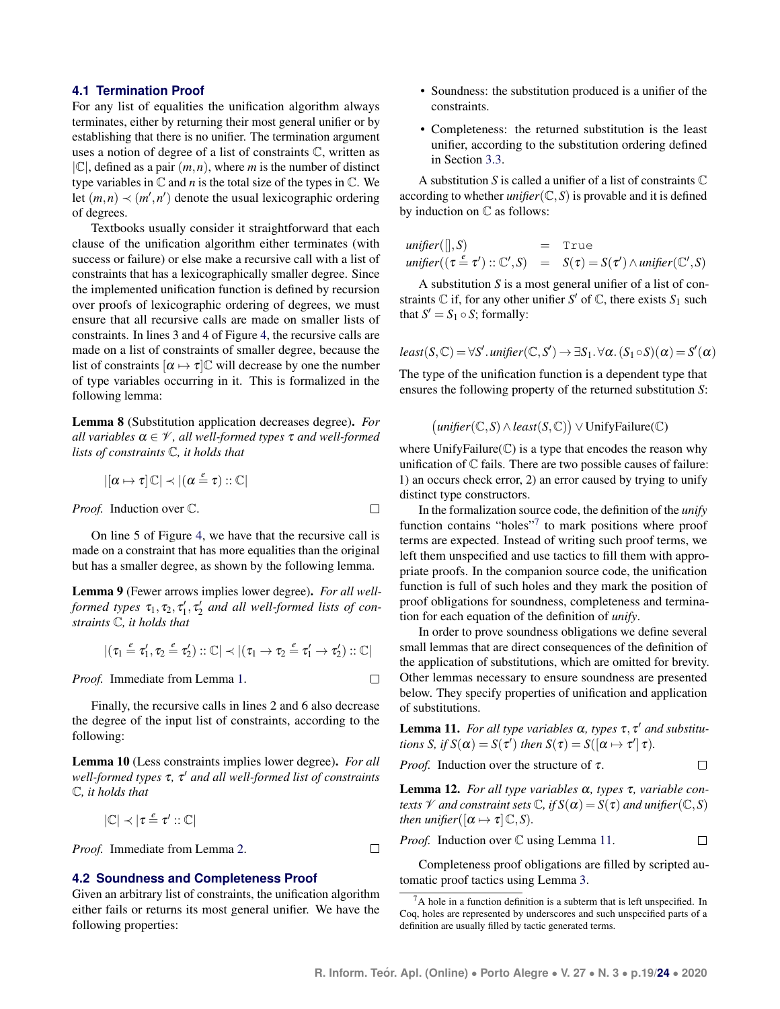#### <span id="page-6-0"></span>**4.1 Termination Proof**

For any list of equalities the unification algorithm always terminates, either by returning their most general unifier or by establishing that there is no unifier. The termination argument uses a notion of degree of a list of constraints C, written as  $|\mathbb{C}|$ , defined as a pair  $(m, n)$ , where *m* is the number of distinct type variables in  $\mathbb C$  and  $n$  is the total size of the types in  $\mathbb C$ . We let  $(m, n) \prec (m', n')$  denote the usual lexicographic ordering of degrees.

Textbooks usually consider it straightforward that each clause of the unification algorithm either terminates (with success or failure) or else make a recursive call with a list of constraints that has a lexicographically smaller degree. Since the implemented unification function is defined by recursion over proofs of lexicographic ordering of degrees, we must ensure that all recursive calls are made on smaller lists of constraints. In lines 3 and 4 of Figure [4,](#page-5-3) the recursive calls are made on a list of constraints of smaller degree, because the list of constraints  $[\alpha \mapsto \tau]$ C will decrease by one the number of type variables occurring in it. This is formalized in the following lemma:

<span id="page-6-3"></span>Lemma 8 (Substitution application decreases degree). *For all variables*  $\alpha \in \mathcal{V}$ *, all well-formed types*  $\tau$  *and well-formed lists of constraints* C*, it holds that*

$$
|[\alpha \mapsto \tau] \, \mathbb{C}| \prec |(\alpha \stackrel{e}{=} \tau) :: \mathbb{C}|
$$

*Proof.* Induction over C.

On line 5 of Figure [4,](#page-5-3) we have that the recursive call is made on a constraint that has more equalities than the original but has a smaller degree, as shown by the following lemma.

 $\Box$ 

 $\Box$ 

 $\Box$ 

<span id="page-6-4"></span>Lemma 9 (Fewer arrows implies lower degree). *For all wellformed types*  $\tau_1, \tau_2, \tau'_1, \tau'_2$  and all well-formed lists of con*straints* C*, it holds that*

$$
|(\tau_1 \stackrel{e}{=} \tau_1', \tau_2 \stackrel{e}{=} \tau_2') :: \mathbb{C}| \prec |(\tau_1 \rightarrow \tau_2 \stackrel{e}{=} \tau_1' \rightarrow \tau_2') :: \mathbb{C}|
$$

*Proof.* Immediate from Lemma [1.](#page-3-0)

Finally, the recursive calls in lines 2 and 6 also decrease the degree of the input list of constraints, according to the following:

<span id="page-6-5"></span>Lemma 10 (Less constraints implies lower degree). *For all well-formed types* τ*,* τ <sup>0</sup> *and all well-formed list of constraints* C*, it holds that*

$$
|\mathbb{C}|\prec|\tau\stackrel{\text{\it e}}{=}\tau'::\mathbb{C}|
$$

*Proof.* Immediate from Lemma [2.](#page-3-1)

#### <span id="page-6-1"></span>**4.2 Soundness and Completeness Proof**

Given an arbitrary list of constraints, the unification algorithm either fails or returns its most general unifier. We have the following properties:

- Soundness: the substitution produced is a unifier of the constraints.
- Completeness: the returned substitution is the least unifier, according to the substitution ordering defined in Section [3.3.](#page-3-2)

A substitution *S* is called a unifier of a list of constraints C according to whether *unifier*( $\mathbb{C}, S$ ) is provable and it is defined by induction on C as follows:

$$
unifier([\,], S) = True
$$
  

$$
unifier((\tau \stackrel{e}{=} \tau') :: \mathbb{C}', S) = S(\tau) = S(\tau') \wedge unifier(\mathbb{C}', S)
$$

A substitution *S* is a most general unifier of a list of constraints  $\mathbb C$  if, for any other unifier  $S'$  of  $\mathbb C$ , there exists  $S_1$  such that  $S' = S_1 \circ S$ ; formally:

$$
least(S,\mathbb{C}) = \forall S'.\,uniform(\mathbb{C},S') \rightarrow \exists S_1. \forall \alpha. (S_1 \circ S)(\alpha) = S'(\alpha)
$$

The type of the unification function is a dependent type that ensures the following property of the returned substitution *S*:

$$
(unifier(\mathbb{C}, S) \land least(S, \mathbb{C})) \lor UnifyFailure(\mathbb{C})
$$

where  $UnifyFailure(\mathbb{C})$  is a type that encodes the reason why unification of  $\mathbb C$  fails. There are two possible causes of failure: 1) an occurs check error, 2) an error caused by trying to unify distinct type constructors.

In the formalization source code, the definition of the *unify* function contains "holes"<sup>[7](#page-0-0)</sup> to mark positions where proof terms are expected. Instead of writing such proof terms, we left them unspecified and use tactics to fill them with appropriate proofs. In the companion source code, the unification function is full of such holes and they mark the position of proof obligations for soundness, completeness and termination for each equation of the definition of *unify*.

In order to prove soundness obligations we define several small lemmas that are direct consequences of the definition of the application of substitutions, which are omitted for brevity. Other lemmas necessary to ensure soundness are presented below. They specify properties of unification and application of substitutions.

<span id="page-6-2"></span>**Lemma 11.** For all type variables  $\alpha$ , types  $\tau$ ,  $\tau'$  and substitu*tions S, if*  $S(\alpha) = S(\tau')$  *then*  $S(\tau) = S([\alpha \mapsto \tau'] \tau)$ *.* 

 $\Box$ 

 $\Box$ 

*Proof.* Induction over the structure of 
$$
\tau
$$
.

Lemma 12. *For all type variables* α*, types* τ*, variable contexts*  $\mathcal V$  *and constraint sets*  $\mathbb C$ *, if*  $S(\alpha) = S(\tau)$  *and unifier*( $\mathbb C$ *, S*) *then unifier*( $[\alpha \mapsto \tau] \mathbb{C}, S$ ).

*Proof.* Induction over  $\mathbb C$  using Lemma [11.](#page-6-2)

Completeness proof obligations are filled by scripted automatic proof tactics using Lemma [3.](#page-3-3)

 ${}^{7}$ A hole in a function definition is a subterm that is left unspecified. In Coq, holes are represented by underscores and such unspecified parts of a definition are usually filled by tactic generated terms.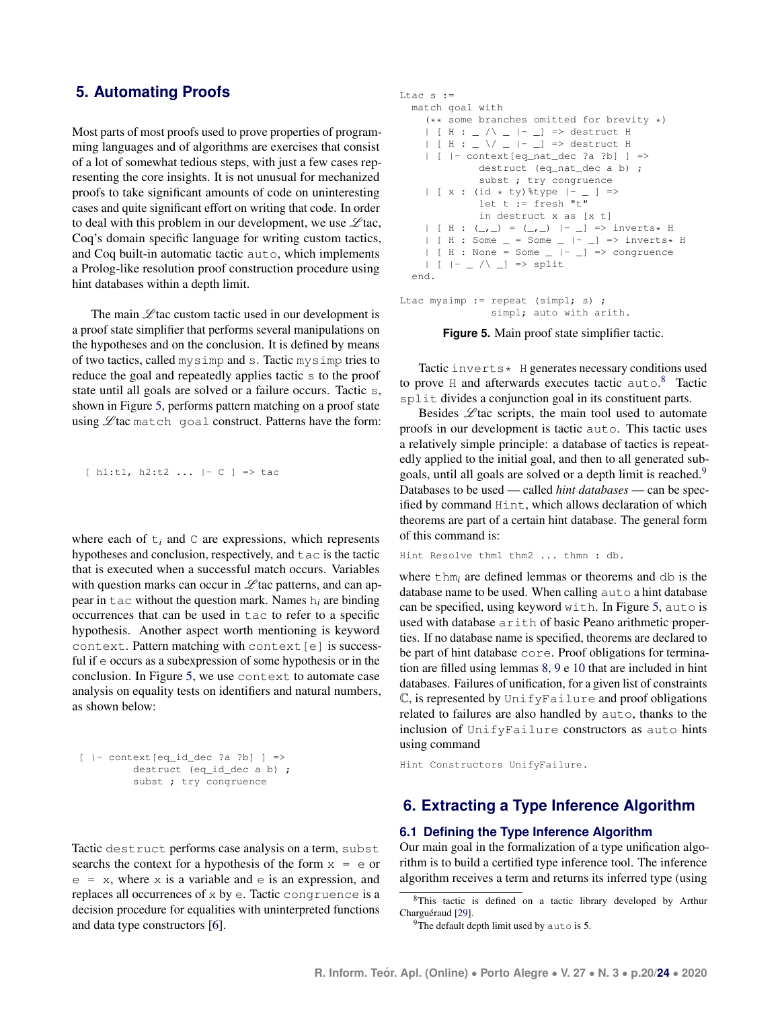# <span id="page-7-0"></span>**5. Automating Proofs**

Most parts of most proofs used to prove properties of programming languages and of algorithms are exercises that consist of a lot of somewhat tedious steps, with just a few cases representing the core insights. It is not unusual for mechanized proofs to take significant amounts of code on uninteresting cases and quite significant effort on writing that code. In order to deal with this problem in our development, we use  $\mathscr{L}$  tac, Coq's domain specific language for writing custom tactics, and Coq built-in automatic tactic auto, which implements a Prolog-like resolution proof construction procedure using hint databases within a depth limit.

The main  $\mathscr{L}$  tac custom tactic used in our development is a proof state simplifier that performs several manipulations on the hypotheses and on the conclusion. It is defined by means of two tactics, called mysimp and s. Tactic mysimp tries to reduce the goal and repeatedly applies tactic s to the proof state until all goals are solved or a failure occurs. Tactic s, shown in Figure [5,](#page-7-2) performs pattern matching on a proof state using  $\mathscr{L}$  tac match goal construct. Patterns have the form:

```
[h1:t1, h2:t2... |- C] \Rightarrow
```
where each of  $t_i$  and  $C$  are expressions, which represents hypotheses and conclusion, respectively, and tac is the tactic that is executed when a successful match occurs. Variables with question marks can occur in  $\mathscr L$  tac patterns, and can appear in tac without the question mark. Names h*<sup>i</sup>* are binding occurrences that can be used in tac to refer to a specific hypothesis. Another aspect worth mentioning is keyword context. Pattern matching with context[e] is successful if e occurs as a subexpression of some hypothesis or in the conclusion. In Figure [5,](#page-7-2) we use context to automate case analysis on equality tests on identifiers and natural numbers, as shown below:

```
[- context[eq_id-dec ?a ?b] \Rightarrowdestruct (eq_id_dec a b) ;
         subst ; try congruence
```
Tactic destruct performs case analysis on a term, subst searchs the context for a hypothesis of the form  $x = e$  or  $e = x$ , where x is a variable and  $e$  is an expression, and replaces all occurrences of x by e. Tactic congruence is a decision procedure for equalities with uninterpreted functions and data type constructors [\[6\]](#page-10-5).

```
Ltac s :=
  match goal with
    (** some branches omitted for brevity *)
    | [ H : _ /\ _ |- _] => destruct H
    | [ H : \_ \/ \_ |- \_] => destruct H
    | [ |- context[eq_nat_dec ?a ?b] ] =>
              destruct (eq_nat_dec a b) ;
              subst ; try congruence
    | [ x : (id * ty)%type |- _ ] =>
             let t := \text{fresh} "t"
              in destruct x as [x t]
    | [ H : (_, _) = (_, _) |- _] => inverts* H
    | [ H : Some = = Some = |- | => inverts* H
    | [ H : None = Some | - | - | => congruence
    | | | | - \angle \wedge - | \Rightarrow split
  end.
```

```
Ltac mysimp := repeat (simpl; s) ;
               simpl; auto with arith.
```
**Figure 5.** Main proof state simplifier tactic.

Tactic inverts\* H generates necessary conditions used to prove H and afterwards executes tactic auto.<sup>[8](#page-0-0)</sup> Tactic split divides a conjunction goal in its constituent parts.

Besides  $\mathscr{L}$  tac scripts, the main tool used to automate proofs in our development is tactic auto. This tactic uses a relatively simple principle: a database of tactics is repeatedly applied to the initial goal, and then to all generated sub-goals, until all goals are solved or a depth limit is reached.<sup>[9](#page-0-0)</sup> Databases to be used — called *hint databases* — can be specified by command Hint, which allows declaration of which theorems are part of a certain hint database. The general form of this command is:

```
Hint Resolve thm1 thm2 ... thmn : db.
```
where thm<sub>i</sub> are defined lemmas or theorems and db is the database name to be used. When calling auto a hint database can be specified, using keyword with. In Figure [5,](#page-7-2) auto is used with database arith of basic Peano arithmetic properties. If no database name is specified, theorems are declared to be part of hint database core. Proof obligations for termination are filled using lemmas [8,](#page-6-3) [9](#page-6-4) e [10](#page-6-5) that are included in hint databases. Failures of unification, for a given list of constraints  $\mathbb C$ , is represented by UnifyFailure and proof obligations related to failures are also handled by auto, thanks to the inclusion of UnifyFailure constructors as auto hints using command

Hint Constructors UnifyFailure.

## <span id="page-7-1"></span>**6. Extracting a Type Inference Algorithm**

#### **6.1 Defining the Type Inference Algorithm**

Our main goal in the formalization of a type unification algorithm is to build a certified type inference tool. The inference algorithm receives a term and returns its inferred type (using

 $9$ The default depth limit used by auto is 5.

<sup>8</sup>This tactic is defined on a tactic library developed by Arthur Charguéraud [[29\]](#page-11-8).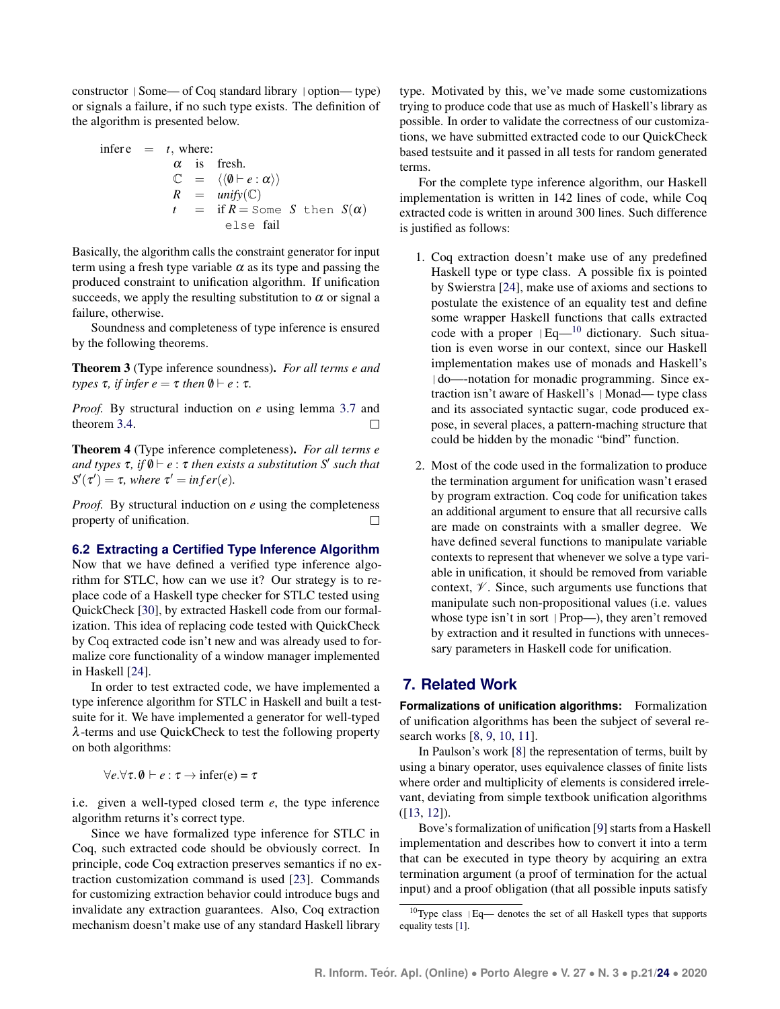constructor |Some— of Coq standard library |option— type) or signals a failure, if no such type exists. The definition of the algorithm is presented below.

$$
\begin{array}{rcl}\n\text{infer } e & = & t, \text{ where:} \\
\alpha & \text{is} & \text{ fresh.} \\
\mathbb{C} & = & \langle \langle \emptyset \vdash e : \alpha \rangle \rangle \\
R & = & \text{unify}(\mathbb{C}) \\
t & = & \text{if } R = \text{Some } S \text{ then } S(\alpha) \\
\text{else fail}\n\end{array}
$$

Basically, the algorithm calls the constraint generator for input term using a fresh type variable  $\alpha$  as its type and passing the produced constraint to unification algorithm. If unification succeeds, we apply the resulting substitution to  $\alpha$  or signal a failure, otherwise.

Soundness and completeness of type inference is ensured by the following theorems.

Theorem 3 (Type inference soundness). *For all terms e and types*  $\tau$ *, if infer e* =  $\tau$  *then*  $\emptyset \vdash e : \tau$ *.* 

*Proof.* By structural induction on *e* using lemma [3.7](#page-5-4) and theorem [3.4.](#page-4-0)  $\Box$ 

Theorem 4 (Type inference completeness). *For all terms e and types* τ*, if* /0 ` *e* : τ *then exists a substitution S* 0 *such that*  $S'(\tau') = \tau$ , where  $\tau' = infer(e)$ .

*Proof.* By structural induction on *e* using the completeness property of unification. П

#### **6.2 Extracting a Certified Type Inference Algorithm**

Now that we have defined a verified type inference algorithm for STLC, how can we use it? Our strategy is to replace code of a Haskell type checker for STLC tested using QuickCheck [\[30\]](#page-11-9), by extracted Haskell code from our formalization. This idea of replacing code tested with QuickCheck by Coq extracted code isn't new and was already used to formalize core functionality of a window manager implemented in Haskell [\[24\]](#page-11-3).

In order to test extracted code, we have implemented a type inference algorithm for STLC in Haskell and built a testsuite for it. We have implemented a generator for well-typed λ-terms and use QuickCheck to test the following property on both algorithms:

$$
\forall e. \forall \tau. \emptyset \vdash e : \tau \rightarrow \text{infer}(e) = \tau
$$

i.e. given a well-typed closed term *e*, the type inference algorithm returns it's correct type.

Since we have formalized type inference for STLC in Coq, such extracted code should be obviously correct. In principle, code Coq extraction preserves semantics if no extraction customization command is used [\[23\]](#page-11-1). Commands for customizing extraction behavior could introduce bugs and invalidate any extraction guarantees. Also, Coq extraction mechanism doesn't make use of any standard Haskell library

type. Motivated by this, we've made some customizations trying to produce code that use as much of Haskell's library as possible. In order to validate the correctness of our customizations, we have submitted extracted code to our QuickCheck based testsuite and it passed in all tests for random generated terms.

For the complete type inference algorithm, our Haskell implementation is written in 142 lines of code, while Coq extracted code is written in around 300 lines. Such difference is justified as follows:

- 1. Coq extraction doesn't make use of any predefined Haskell type or type class. A possible fix is pointed by Swierstra [\[24\]](#page-11-3), make use of axioms and sections to postulate the existence of an equality test and define some wrapper Haskell functions that calls extracted code with a proper  $|Eq-$ <sup>[10](#page-0-0)</sup> dictionary. Such situation is even worse in our context, since our Haskell implementation makes use of monads and Haskell's |do—-notation for monadic programming. Since extraction isn't aware of Haskell's |Monad— type class and its associated syntactic sugar, code produced expose, in several places, a pattern-maching structure that could be hidden by the monadic "bind" function.
- 2. Most of the code used in the formalization to produce the termination argument for unification wasn't erased by program extraction. Coq code for unification takes an additional argument to ensure that all recursive calls are made on constraints with a smaller degree. We have defined several functions to manipulate variable contexts to represent that whenever we solve a type variable in unification, it should be removed from variable context,  $\mathcal V$ . Since, such arguments use functions that manipulate such non-propositional values (i.e. values whose type isn't in sort |Prop—), they aren't removed by extraction and it resulted in functions with unnecessary parameters in Haskell code for unification.

### <span id="page-8-0"></span>**7. Related Work**

**Formalizations of unification algorithms:** Formalization of unification algorithms has been the subject of several research works [\[8,](#page-10-7) [9,](#page-10-8) [10,](#page-10-9) [11\]](#page-10-10).

In Paulson's work [\[8\]](#page-10-7) the representation of terms, built by using a binary operator, uses equivalence classes of finite lists where order and multiplicity of elements is considered irrelevant, deviating from simple textbook unification algorithms ([\[13,](#page-10-12) [12\]](#page-10-11)).

Bove's formalization of unification [\[9\]](#page-10-8) starts from a Haskell implementation and describes how to convert it into a term that can be executed in type theory by acquiring an extra termination argument (a proof of termination for the actual input) and a proof obligation (that all possible inputs satisfy

<sup>10</sup>Type class |Eq— denotes the set of all Haskell types that supports equality tests [\[1\]](#page-10-0).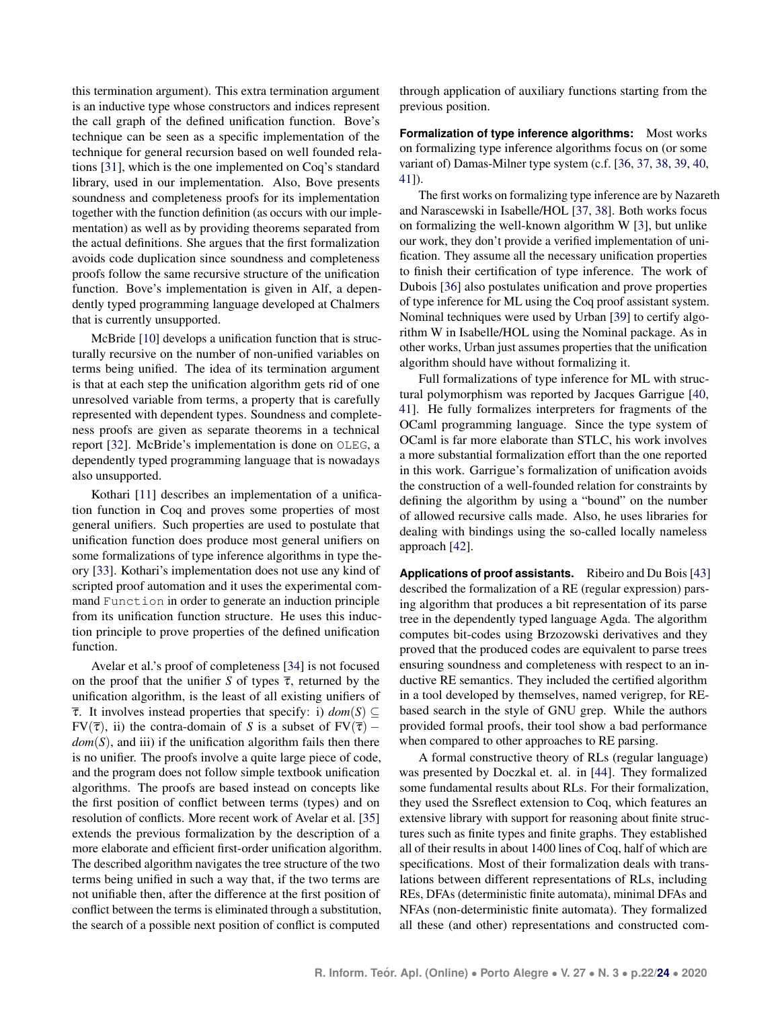this termination argument). This extra termination argument is an inductive type whose constructors and indices represent the call graph of the defined unification function. Bove's technique can be seen as a specific implementation of the technique for general recursion based on well founded relations [\[31\]](#page-11-10), which is the one implemented on Coq's standard library, used in our implementation. Also, Bove presents soundness and completeness proofs for its implementation together with the function definition (as occurs with our implementation) as well as by providing theorems separated from the actual definitions. She argues that the first formalization avoids code duplication since soundness and completeness proofs follow the same recursive structure of the unification function. Bove's implementation is given in Alf, a dependently typed programming language developed at Chalmers that is currently unsupported.

McBride [\[10\]](#page-10-9) develops a unification function that is structurally recursive on the number of non-unified variables on terms being unified. The idea of its termination argument is that at each step the unification algorithm gets rid of one unresolved variable from terms, a property that is carefully represented with dependent types. Soundness and completeness proofs are given as separate theorems in a technical report [\[32\]](#page-11-11). McBride's implementation is done on OLEG, a dependently typed programming language that is nowadays also unsupported.

Kothari [\[11\]](#page-10-10) describes an implementation of a unification function in Coq and proves some properties of most general unifiers. Such properties are used to postulate that unification function does produce most general unifiers on some formalizations of type inference algorithms in type theory [\[33\]](#page-11-12). Kothari's implementation does not use any kind of scripted proof automation and it uses the experimental command Function in order to generate an induction principle from its unification function structure. He uses this induction principle to prove properties of the defined unification function.

Avelar et al.'s proof of completeness [\[34\]](#page-11-13) is not focused on the proof that the unifier *S* of types  $\bar{\tau}$ , returned by the unification algorithm, is the least of all existing unifiers of  $\bar{\tau}$ . It involves instead properties that specify: i)  $dom(S) \subseteq$ FV( $\overline{\tau}$ ), ii) the contra-domain of *S* is a subset of FV( $\overline{\tau}$ ) – *dom*(*S*), and iii) if the unification algorithm fails then there is no unifier. The proofs involve a quite large piece of code, and the program does not follow simple textbook unification algorithms. The proofs are based instead on concepts like the first position of conflict between terms (types) and on resolution of conflicts. More recent work of Avelar et al. [\[35\]](#page-11-14) extends the previous formalization by the description of a more elaborate and efficient first-order unification algorithm. The described algorithm navigates the tree structure of the two terms being unified in such a way that, if the two terms are not unifiable then, after the difference at the first position of conflict between the terms is eliminated through a substitution, the search of a possible next position of conflict is computed

through application of auxiliary functions starting from the previous position.

**Formalization of type inference algorithms:** Most works on formalizing type inference algorithms focus on (or some variant of) Damas-Milner type system (c.f. [\[36,](#page-11-15) [37,](#page-11-16) [38,](#page-11-17) [39,](#page-11-18) [40,](#page-11-19) [41\]](#page-11-20)).

The first works on formalizing type inference are by Nazareth and Narascewski in Isabelle/HOL [\[37,](#page-11-16) [38\]](#page-11-17). Both works focus on formalizing the well-known algorithm W [\[3\]](#page-10-2), but unlike our work, they don't provide a verified implementation of unification. They assume all the necessary unification properties to finish their certification of type inference. The work of Dubois [\[36\]](#page-11-15) also postulates unification and prove properties of type inference for ML using the Coq proof assistant system. Nominal techniques were used by Urban [\[39\]](#page-11-18) to certify algorithm W in Isabelle/HOL using the Nominal package. As in other works, Urban just assumes properties that the unification algorithm should have without formalizing it.

Full formalizations of type inference for ML with structural polymorphism was reported by Jacques Garrigue [\[40,](#page-11-19) [41\]](#page-11-20). He fully formalizes interpreters for fragments of the OCaml programming language. Since the type system of OCaml is far more elaborate than STLC, his work involves a more substantial formalization effort than the one reported in this work. Garrigue's formalization of unification avoids the construction of a well-founded relation for constraints by defining the algorithm by using a "bound" on the number of allowed recursive calls made. Also, he uses libraries for dealing with bindings using the so-called locally nameless approach [\[42\]](#page-11-21).

**Applications of proof assistants.** Ribeiro and Du Bois [\[43\]](#page-11-22) described the formalization of a RE (regular expression) parsing algorithm that produces a bit representation of its parse tree in the dependently typed language Agda. The algorithm computes bit-codes using Brzozowski derivatives and they proved that the produced codes are equivalent to parse trees ensuring soundness and completeness with respect to an inductive RE semantics. They included the certified algorithm in a tool developed by themselves, named verigrep, for REbased search in the style of GNU grep. While the authors provided formal proofs, their tool show a bad performance when compared to other approaches to RE parsing.

A formal constructive theory of RLs (regular language) was presented by Doczkal et. al. in [\[44\]](#page-11-23). They formalized some fundamental results about RLs. For their formalization, they used the Ssreflect extension to Coq, which features an extensive library with support for reasoning about finite structures such as finite types and finite graphs. They established all of their results in about 1400 lines of Coq, half of which are specifications. Most of their formalization deals with translations between different representations of RLs, including REs, DFAs (deterministic finite automata), minimal DFAs and NFAs (non-deterministic finite automata). They formalized all these (and other) representations and constructed com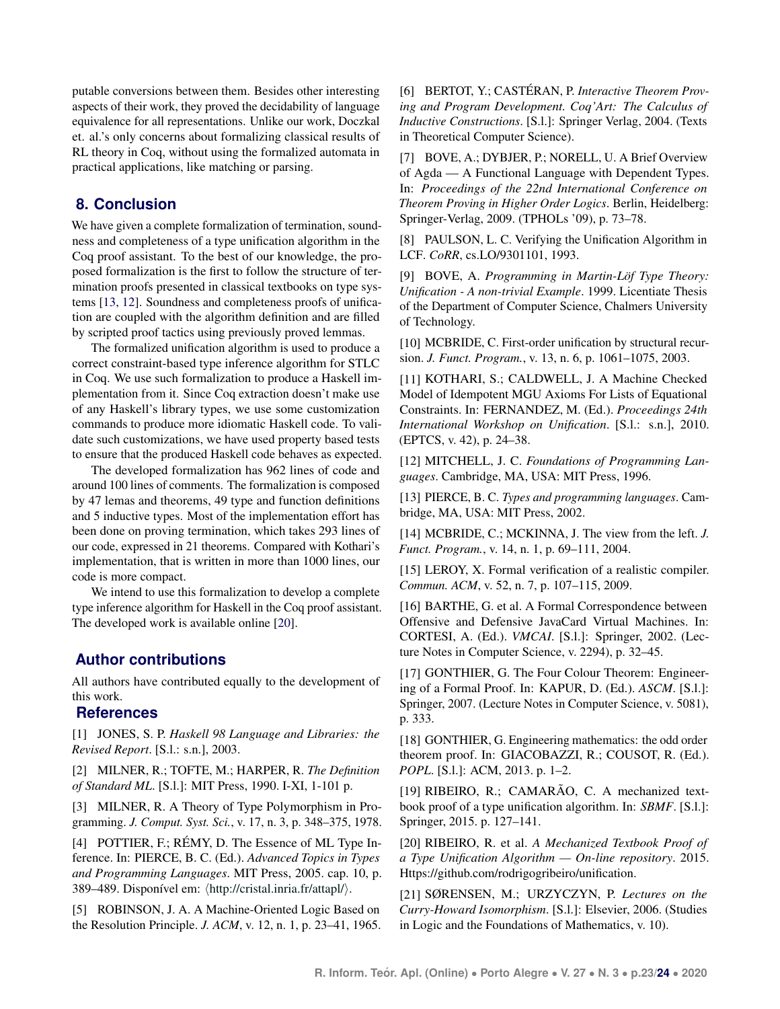putable conversions between them. Besides other interesting aspects of their work, they proved the decidability of language equivalence for all representations. Unlike our work, Doczkal et. al.'s only concerns about formalizing classical results of RL theory in Coq, without using the formalized automata in practical applications, like matching or parsing.

# <span id="page-10-19"></span>**8. Conclusion**

We have given a complete formalization of termination, soundness and completeness of a type unification algorithm in the Coq proof assistant. To the best of our knowledge, the proposed formalization is the first to follow the structure of termination proofs presented in classical textbooks on type systems [\[13,](#page-10-12) [12\]](#page-10-11). Soundness and completeness proofs of unification are coupled with the algorithm definition and are filled by scripted proof tactics using previously proved lemmas.

The formalized unification algorithm is used to produce a correct constraint-based type inference algorithm for STLC in Coq. We use such formalization to produce a Haskell implementation from it. Since Coq extraction doesn't make use of any Haskell's library types, we use some customization commands to produce more idiomatic Haskell code. To validate such customizations, we have used property based tests to ensure that the produced Haskell code behaves as expected.

The developed formalization has 962 lines of code and around 100 lines of comments. The formalization is composed by 47 lemas and theorems, 49 type and function definitions and 5 inductive types. Most of the implementation effort has been done on proving termination, which takes 293 lines of our code, expressed in 21 theorems. Compared with Kothari's implementation, that is written in more than 1000 lines, our code is more compact.

We intend to use this formalization to develop a complete type inference algorithm for Haskell in the Coq proof assistant. The developed work is available online [\[20\]](#page-10-20).

# **Author contributions**

All authors have contributed equally to the development of this work.

# **References**

<span id="page-10-0"></span>[1] JONES, S. P. *Haskell 98 Language and Libraries: the Revised Report*. [S.l.: s.n.], 2003.

<span id="page-10-1"></span>[2] MILNER, R.; TOFTE, M.; HARPER, R. *The Definition of Standard ML*. [S.l.]: MIT Press, 1990. I-XI, 1-101 p.

<span id="page-10-2"></span>[3] MILNER, R. A Theory of Type Polymorphism in Programming. *J. Comput. Syst. Sci.*, v. 17, n. 3, p. 348–375, 1978.

<span id="page-10-3"></span>[4] POTTIER, F.; RÉMY, D. The Essence of ML Type Inference. In: PIERCE, B. C. (Ed.). *Advanced Topics in Types and Programming Languages*. MIT Press, 2005. cap. 10, p. 389–489. Disponível em:  $\langle$ <http://cristal.inria.fr/attapl/> $\rangle$ .

<span id="page-10-4"></span>[5] ROBINSON, J. A. A Machine-Oriented Logic Based on the Resolution Principle. *J. ACM*, v. 12, n. 1, p. 23–41, 1965. <span id="page-10-5"></span>[6] BERTOT, Y.; CASTÉRAN, P. Interactive Theorem Prov*ing and Program Development. Coq'Art: The Calculus of Inductive Constructions*. [S.l.]: Springer Verlag, 2004. (Texts in Theoretical Computer Science).

<span id="page-10-6"></span>[7] BOVE, A.; DYBJER, P.; NORELL, U. A Brief Overview of Agda — A Functional Language with Dependent Types. In: *Proceedings of the 22nd International Conference on Theorem Proving in Higher Order Logics*. Berlin, Heidelberg: Springer-Verlag, 2009. (TPHOLs '09), p. 73–78.

<span id="page-10-7"></span>[8] PAULSON, L. C. Verifying the Unification Algorithm in LCF. *CoRR*, cs.LO/9301101, 1993.

<span id="page-10-8"></span>[9] BOVE, A. *Programming in Martin-Lof Type Theory: ¨ Unification - A non-trivial Example*. 1999. Licentiate Thesis of the Department of Computer Science, Chalmers University of Technology.

<span id="page-10-9"></span>[10] MCBRIDE, C. First-order unification by structural recursion. *J. Funct. Program.*, v. 13, n. 6, p. 1061–1075, 2003.

<span id="page-10-10"></span>[11] KOTHARI, S.; CALDWELL, J. A Machine Checked Model of Idempotent MGU Axioms For Lists of Equational Constraints. In: FERNANDEZ, M. (Ed.). *Proceedings 24th International Workshop on Unification*. [S.l.: s.n.], 2010. (EPTCS, v. 42), p. 24–38.

<span id="page-10-11"></span>[12] MITCHELL, J. C. *Foundations of Programming Languages*. Cambridge, MA, USA: MIT Press, 1996.

<span id="page-10-12"></span>[13] PIERCE, B. C. *Types and programming languages*. Cambridge, MA, USA: MIT Press, 2002.

<span id="page-10-13"></span>[14] MCBRIDE, C.; MCKINNA, J. The view from the left. *J. Funct. Program.*, v. 14, n. 1, p. 69–111, 2004.

<span id="page-10-14"></span>[15] LEROY, X. Formal verification of a realistic compiler. *Commun. ACM*, v. 52, n. 7, p. 107–115, 2009.

<span id="page-10-15"></span>[16] BARTHE, G. et al. A Formal Correspondence between Offensive and Defensive JavaCard Virtual Machines. In: CORTESI, A. (Ed.). *VMCAI*. [S.l.]: Springer, 2002. (Lecture Notes in Computer Science, v. 2294), p. 32–45.

<span id="page-10-16"></span>[17] GONTHIER, G. The Four Colour Theorem: Engineering of a Formal Proof. In: KAPUR, D. (Ed.). *ASCM*. [S.l.]: Springer, 2007. (Lecture Notes in Computer Science, v. 5081), p. 333.

<span id="page-10-17"></span>[18] GONTHIER, G. Engineering mathematics: the odd order theorem proof. In: GIACOBAZZI, R.; COUSOT, R. (Ed.). *POPL*. [S.l.]: ACM, 2013. p. 1–2.

<span id="page-10-18"></span>[19] RIBEIRO, R.; CAMARÃO, C. A mechanized textbook proof of a type unification algorithm. In: *SBMF*. [S.l.]: Springer, 2015. p. 127–141.

<span id="page-10-20"></span>[20] RIBEIRO, R. et al. *A Mechanized Textbook Proof of a Type Unification Algorithm — On-line repository*. 2015. Https://github.com/rodrigogribeiro/unification.

<span id="page-10-21"></span>[21] SØRENSEN, M.; URZYCZYN, P. *Lectures on the Curry-Howard Isomorphism*. [S.l.]: Elsevier, 2006. (Studies in Logic and the Foundations of Mathematics, v. 10).